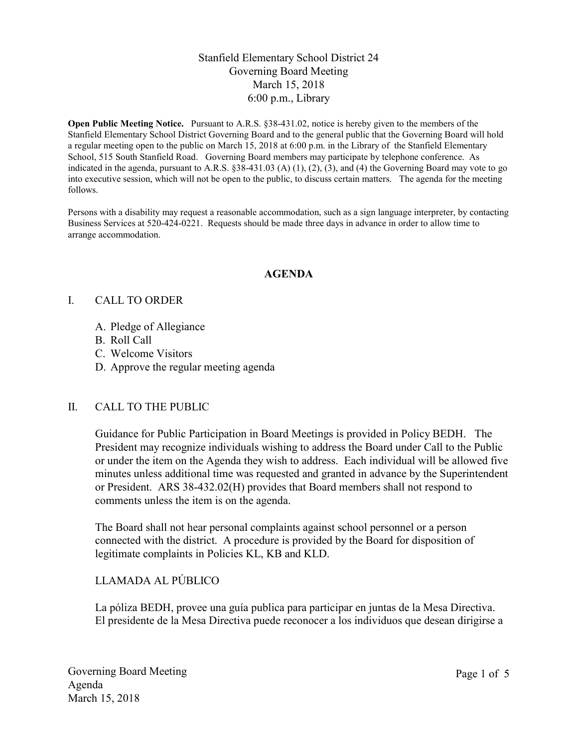### Stanfield Elementary School District 24 Governing Board Meeting March 15, 2018 6:00 p.m., Library

Open Public Meeting Notice. Pursuant to A.R.S. §38-431.02, notice is hereby given to the members of the Stanfield Elementary School District Governing Board and to the general public that the Governing Board will hold a regular meeting open to the public on March 15, 2018 at 6:00 p.m. in the Library of the Stanfield Elementary School, 515 South Stanfield Road. Governing Board members may participate by telephone conference. As indicated in the agenda, pursuant to A.R.S.  $\S 38-431.03$  (A) (1), (2), (3), and (4) the Governing Board may vote to go into executive session, which will not be open to the public, to discuss certain matters. The agenda for the meeting follows.

Persons with a disability may request a reasonable accommodation, such as a sign language interpreter, by contacting Business Services at 520-424-0221. Requests should be made three days in advance in order to allow time to arrange accommodation.

#### AGENDA

#### I. CALL TO ORDER

- A. Pledge of Allegiance
- B. Roll Call
- C. Welcome Visitors
- D. Approve the regular meeting agenda

#### II. CALL TO THE PUBLIC

Guidance for Public Participation in Board Meetings is provided in Policy BEDH. The President may recognize individuals wishing to address the Board under Call to the Public or under the item on the Agenda they wish to address. Each individual will be allowed five minutes unless additional time was requested and granted in advance by the Superintendent or President. ARS 38-432.02(H) provides that Board members shall not respond to comments unless the item is on the agenda.

The Board shall not hear personal complaints against school personnel or a person connected with the district. A procedure is provided by the Board for disposition of legitimate complaints in Policies KL, KB and KLD.

### LLAMADA AL PÚBLICO

La póliza BEDH, provee una guía publica para participar en juntas de la Mesa Directiva. El presidente de la Mesa Directiva puede reconocer a los individuos que desean dirigirse a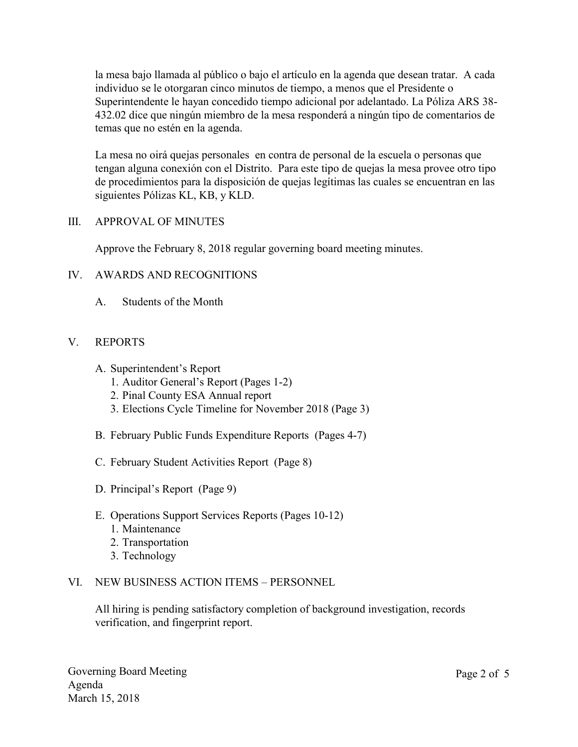la mesa bajo llamada al público o bajo el artículo en la agenda que desean tratar. A cada individuo se le otorgaran cinco minutos de tiempo, a menos que el Presidente o Superintendente le hayan concedido tiempo adicional por adelantado. La Póliza ARS 38- 432.02 dice que ningún miembro de la mesa responderá a ningún tipo de comentarios de temas que no estén en la agenda.

La mesa no oirá quejas personales en contra de personal de la escuela o personas que tengan alguna conexión con el Distrito. Para este tipo de quejas la mesa provee otro tipo de procedimientos para la disposición de quejas legítimas las cuales se encuentran en las siguientes Pólizas KL, KB, y KLD.

### III. APPROVAL OF MINUTES

Approve the February 8, 2018 regular governing board meeting minutes.

## IV. AWARDS AND RECOGNITIONS

A. Students of the Month

## V. REPORTS

- A. Superintendent's Report
	- 1. Auditor General's Report (Pages 1-2)
	- 2. Pinal County ESA Annual report
	- 3. Elections Cycle Timeline for November 2018 (Page 3)
- B. February Public Funds Expenditure Reports (Pages 4-7)
- C. February Student Activities Report (Page 8)
- D. Principal's Report (Page 9)
- E. Operations Support Services Reports (Pages 10-12)
	- 1. Maintenance
	- 2. Transportation
	- 3. Technology

### VI. NEW BUSINESS ACTION ITEMS – PERSONNEL

All hiring is pending satisfactory completion of background investigation, records verification, and fingerprint report.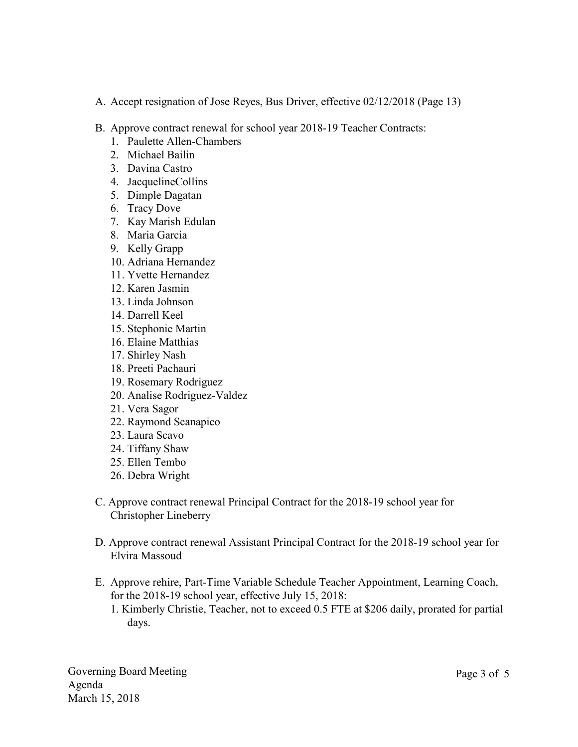- A. Accept resignation of Jose Reyes, Bus Driver, effective 02/12/2018 (Page 13)
- B. Approve contract renewal for school year 2018-19 Teacher Contracts:
	- 1. Paulette Allen-Chambers
	- 2. Michael Bailin
	- 3. Davina Castro
	- 4. JacquelineCollins
	- 5. Dimple Dagatan
	- 6. Tracy Dove
	- 7. Kay Marish Edulan
	- 8. Maria Garcia
	- 9. Kelly Grapp
	- 10. Adriana Hernandez
	- 11. Yvette Hernandez
	- 12. Karen Jasmin
	- 13. Linda Johnson
	- 14. Darrell Keel
	- 15. Stephonie Martin
	- 16. Elaine Matthias
	- 17. Shirley Nash
	- 18. Preeti Pachauri
	- 19. Rosemary Rodriguez
	- 20. Analise Rodriguez-Valdez
	- 21. Vera Sagor
	- 22. Raymond Scanapico
	- 23. Laura Scavo
	- 24. Tiffany Shaw
	- 25. Ellen Tembo
	- 26. Debra Wright
- C. Approve contract renewal Principal Contract for the 2018-19 school year for Christopher Lineberry
- D. Approve contract renewal Assistant Principal Contract for the 2018-19 school year for Elvira Massoud
- E. Approve rehire, Part-Time Variable Schedule Teacher Appointment, Learning Coach, for the 2018-19 school year, effective July 15, 2018:
	- 1. Kimberly Christie, Teacher, not to exceed 0.5 FTE at \$206 daily, prorated for partial days.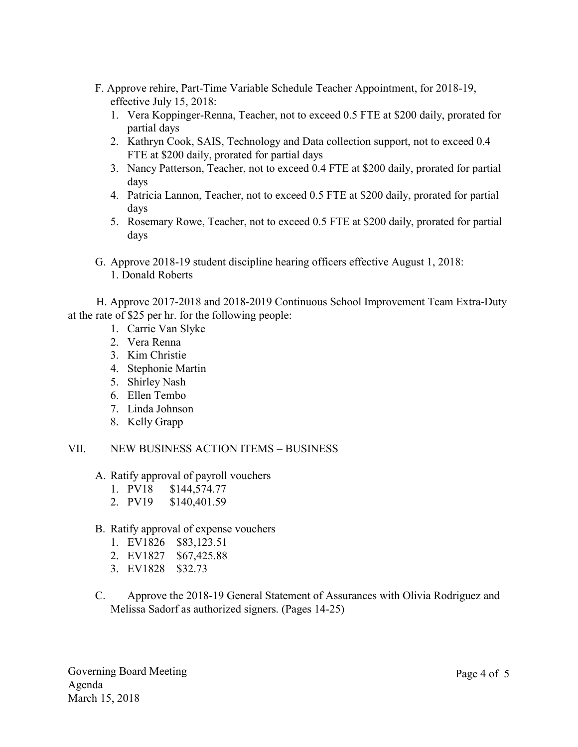- F. Approve rehire, Part-Time Variable Schedule Teacher Appointment, for 2018-19, effective July 15, 2018:
	- 1. Vera Koppinger-Renna, Teacher, not to exceed 0.5 FTE at \$200 daily, prorated for partial days
	- 2. Kathryn Cook, SAIS, Technology and Data collection support, not to exceed 0.4 FTE at \$200 daily, prorated for partial days
	- 3. Nancy Patterson, Teacher, not to exceed 0.4 FTE at \$200 daily, prorated for partial days
	- 4. Patricia Lannon, Teacher, not to exceed 0.5 FTE at \$200 daily, prorated for partial days
	- 5. Rosemary Rowe, Teacher, not to exceed 0.5 FTE at \$200 daily, prorated for partial days
- G. Approve 2018-19 student discipline hearing officers effective August 1, 2018: 1. Donald Roberts

 H. Approve 2017-2018 and 2018-2019 Continuous School Improvement Team Extra-Duty at the rate of \$25 per hr. for the following people:

- 1. Carrie Van Slyke
- 2. Vera Renna
- 3. Kim Christie
- 4. Stephonie Martin
- 5. Shirley Nash
- 6. Ellen Tembo
- 7. Linda Johnson
- 8. Kelly Grapp

VII. NEW BUSINESS ACTION ITEMS – BUSINESS

- A. Ratify approval of payroll vouchers
	- 1. PV18 \$144,574.77
	- 2. PV19 \$140,401.59
- B. Ratify approval of expense vouchers
	- 1. EV1826 \$83,123.51
	- 2. EV1827 \$67,425.88
	- 3. EV1828 \$32.73
- C. Approve the 2018-19 General Statement of Assurances with Olivia Rodriguez and Melissa Sadorf as authorized signers. (Pages 14-25)